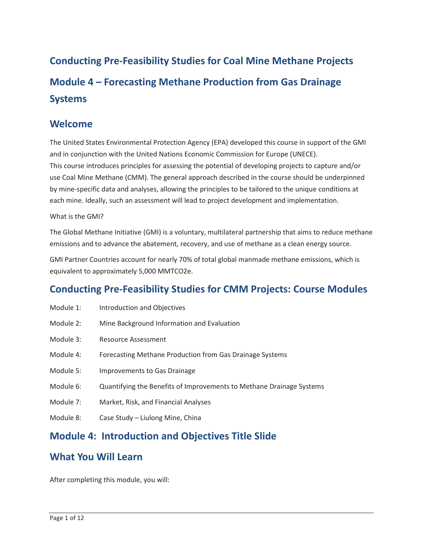# **Conducting Pre-Feasibility Studies for Coal Mine Methane Projects Module 4 – Forecasting Methane Production from Gas Drainage Systems**

#### **Welcome**

 The United States Environmental Protection Agency (EPA) developed this course in support of the GMI and in conjunction with the United Nations Economic Commission for Europe (UNECE). This course introduces principles for assessing the potential of developing projects to capture and/or use Coal Mine Methane (CMM). The general approach described in the course should be underpinned by mine-specific data and analyses, allowing the principles to be tailored to the unique conditions at each mine. Ideally, such an assessment will lead to project development and implementation.

#### What is the GMI?

 The Global Methane Initiative (GMI) is a voluntary, multilateral partnership that aims to reduce methane emissions and to advance the abatement, recovery, and use of methane as a clean energy source.

GMI Partner Countries account for nearly 70% of total global manmade methane emissions, which is equivalent to approximately 5,000 MMTCO2e.

## **Conducting Pre-Feasibility Studies for CMM Projects: Course Modules**

| Module 1: | Introduction and Objectives |
|-----------|-----------------------------|
|-----------|-----------------------------|

- Module 2: Mine Background Information and Evaluation
- Module 3: Resource Assessment
- Module 4: Forecasting Methane Production from Gas Drainage Systems
- Module 5: Improvements to Gas Drainage
- Module 6: Quantifying the Benefits of Improvements to Methane Drainage Systems
- Module 7: Market, Risk, and Financial Analyses
- Module 8: Case Study Liulong Mine, China

## **Module 4: Introduction and Objectives Title Slide**

#### **What You Will Learn**

After completing this module, you will: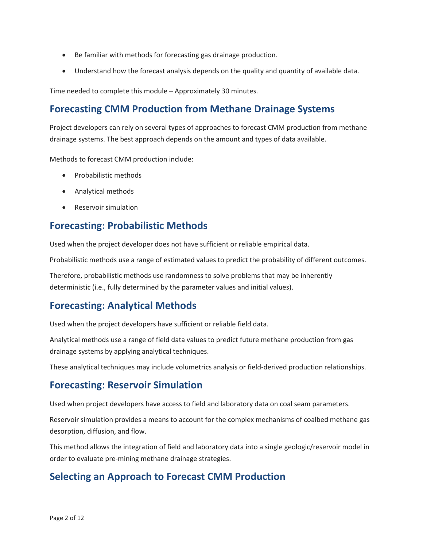- Be familiar with methods for forecasting gas drainage production.
- Understand how the forecast analysis depends on the quality and quantity of available data.

Time needed to complete this module – Approximately 30 minutes.

## **Forecasting CMM Production from Methane Drainage Systems**

 Project developers can rely on several types of approaches to forecast CMM production from methane drainage systems. The best approach depends on the amount and types of data available.

Methods to forecast CMM production include:

- Probabilistic methods
- Analytical methods
- Reservoir simulation

#### **Forecasting: Probabilistic Methods**

Used when the project developer does not have sufficient or reliable empirical data.

Probabilistic methods use a range of estimated values to predict the probability of different outcomes.

 Therefore, probabilistic methods use randomness to solve problems that may be inherently deterministic (i.e., fully determined by the parameter values and initial values).

## **Forecasting: Analytical Methods**

Used when the project developers have sufficient or reliable field data.

Analytical methods use a range of field data values to predict future methane production from gas drainage systems by applying analytical techniques.

These analytical techniques may include volumetrics analysis or field-derived production relationships.

#### **Forecasting: Reservoir Simulation**

Used when project developers have access to field and laboratory data on coal seam parameters.

 Reservoir simulation provides a means to account for the complex mechanisms of coalbed methane gas desorption, diffusion, and flow.

 This method allows the integration of field and laboratory data into a single geologic/reservoir model in order to evaluate pre-mining methane drainage strategies.

### **Selecting an Approach to Forecast CMM Production**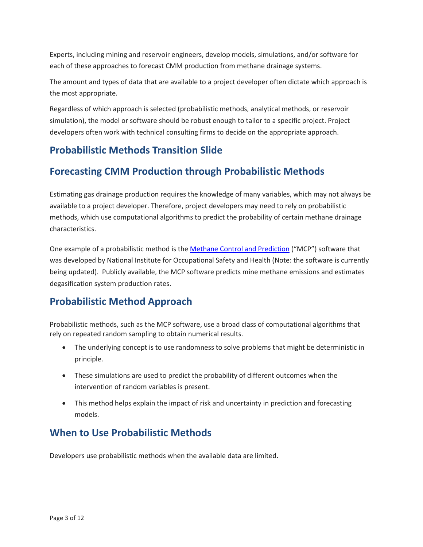Experts, including mining and reservoir engineers, develop models, simulations, and/or software for each of these approaches to forecast CMM production from methane drainage systems.

The amount and types of data that are available to a project developer often dictate which approach is the most appropriate.

 simulation), the model or software should be robust enough to tailor to a specific project. Project Regardless of which approach is selected (probabilistic methods, analytical methods, or reservoir developers often work with technical consulting firms to decide on the appropriate approach.

## **Probabilistic Methods Transition Slide**

## **Forecasting CMM Production through Probabilistic Methods**

 Estimating gas drainage production requires the knowledge of many variables, which may not always be available to a project developer. Therefore, project developers may need to rely on probabilistic methods, which use computational algorithms to predict the probability of certain methane drainage characteristics.

One example of a probabilistic method is the *Methane Control and Prediction* ("MCP") software that was developed by National Institute for Occupational Safety and Health (Note: the software is currently being updated). Publicly available, the MCP software predicts mine methane emissions and estimates degasification system production rates.

## **Probabilistic Method Approach**

 rely on repeated random sampling to obtain numerical results. Probabilistic methods, such as the MCP software, use a broad class of computational algorithms that

- • The underlying concept is to use randomness to solve problems that might be deterministic in principle.
- These simulations are used to predict the probability of different outcomes when the intervention of random variables is present.
- • This method helps explain the impact of risk and uncertainty in prediction and forecasting models.

## **When to Use Probabilistic Methods**

Developers use probabilistic methods when the available data are limited.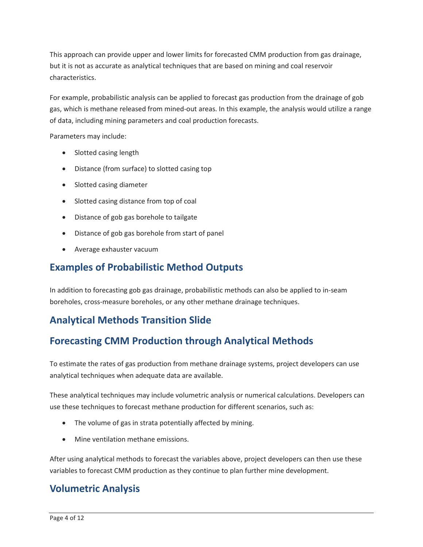This approach can provide upper and lower limits for forecasted CMM production from gas drainage, but it is not as accurate as analytical techniques that are based on mining and coal reservoir characteristics.

 For example, probabilistic analysis can be applied to forecast gas production from the drainage of gob gas, which is methane released from mined-out areas. In this example, the analysis would utilize a range of data, including mining parameters and coal production forecasts.

Parameters may include:

- Slotted casing length
- Distance (from surface) to slotted casing top
- Slotted casing diameter
- Slotted casing distance from top of coal
- Distance of gob gas borehole to tailgate
- Distance of gob gas borehole from start of panel
- Average exhauster vacuum

## **Examples of Probabilistic Method Outputs**

 In addition to forecasting gob gas drainage, probabilistic methods can also be applied to in-seam boreholes, cross-measure boreholes, or any other methane drainage techniques.

## **Analytical Methods Transition Slide**

## **Forecasting CMM Production through Analytical Methods**

To estimate the rates of gas production from methane drainage systems, project developers can use analytical techniques when adequate data are available.

 These analytical techniques may include volumetric analysis or numerical calculations. Developers can use these techniques to forecast methane production for different scenarios, such as:

- The volume of gas in strata potentially affected by mining.
- Mine ventilation methane emissions.

 After using analytical methods to forecast the variables above, project developers can then use these variables to forecast CMM production as they continue to plan further mine development.

### **Volumetric Analysis**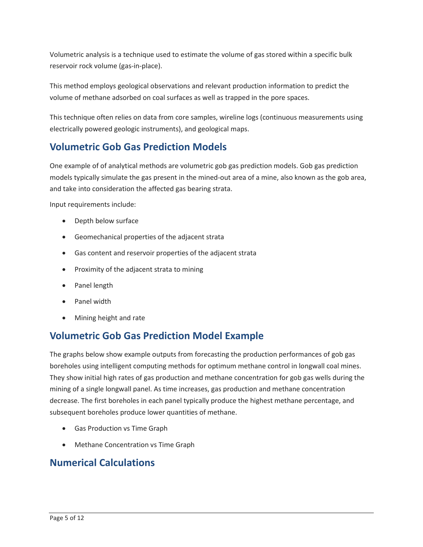Volumetric analysis is a technique used to estimate the volume of gas stored within a specific bulk reservoir rock volume (gas-in-place).

volume of methane adsorbed on coal surfaces as well as trapped in the pore spaces. This method employs geological observations and relevant production information to predict the

volume of methane adsorbed on coal surfaces as well as trapped in the pore spaces.<br>This technique often relies on data from core samples, wireline logs (continuous measurements using electrically powered geologic instruments), and geological maps.

## **Volumetric Gob Gas Prediction Models**

 One example of of analytical methods are volumetric gob gas prediction models. Gob gas prediction models typically simulate the gas present in the mined-out area of a mine, also known as the gob area, and take into consideration the affected gas bearing strata.

Input requirements include:

- Depth below surface
- Geomechanical properties of the adjacent strata
- Gas content and reservoir properties of the adjacent strata
- Proximity of the adjacent strata to mining
- Panel length
- Panel width
- Mining height and rate

### **Volumetric Gob Gas Prediction Model Example**

 The graphs below show example outputs from forecasting the production performances of gob gas subsequent boreholes produce lower quantities of methane. boreholes using intelligent computing methods for optimum methane control in longwall coal mines. They show initial high rates of gas production and methane concentration for gob gas wells during the mining of a single longwall panel. As time increases, gas production and methane concentration decrease. The first boreholes in each panel typically produce the highest methane percentage, and

- Gas Production vs Time Graph
- Methane Concentration vs Time Graph

## **Numerical Calculations**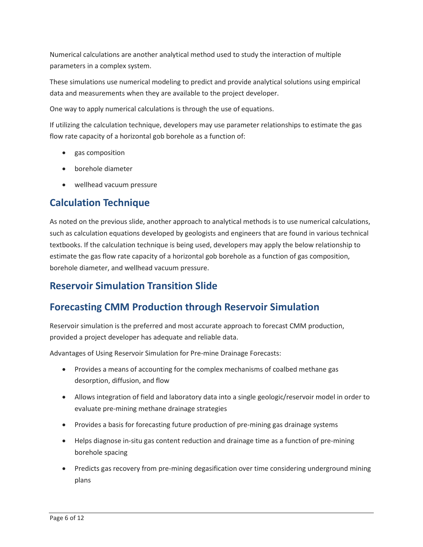Numerical calculations are another analytical method used to study the interaction of multiple parameters in a complex system.

These simulations use numerical modeling to predict and provide analytical solutions using empirical data and measurements when they are available to the project developer.

One way to apply numerical calculations is through the use of equations.

 If utilizing the calculation technique, developers may use parameter relationships to estimate the gas flow rate capacity of a horizontal gob borehole as a function of:

- gas composition
- borehole diameter
- wellhead vacuum pressure

## **Calculation Technique**

As noted on the previous slide, another approach to analytical methods is to use numerical calculations, such as calculation equations developed by geologists and engineers that are found in various technical textbooks. If the calculation technique is being used, developers may apply the below relationship to estimate the gas flow rate capacity of a horizontal gob borehole as a function of gas composition, borehole diameter, and wellhead vacuum pressure.

### **Reservoir Simulation Transition Slide**

## **Forecasting CMM Production through Reservoir Simulation**

 Reservoir simulation is the preferred and most accurate approach to forecast CMM production, provided a project developer has adequate and reliable data.

Advantages of Using Reservoir Simulation for Pre-mine Drainage Forecasts:

- • Provides a means of accounting for the complex mechanisms of coalbed methane gas desorption, diffusion, and flow
- • Allows integration of field and laboratory data into a single geologic/reservoir model in order to evaluate pre-mining methane drainage strategies
- Provides a basis for forecasting future production of pre-mining gas drainage systems
- Helps diagnose in-situ gas content reduction and drainage time as a function of pre-mining borehole spacing
- Predicts gas recovery from pre-mining degasification over time considering underground mining plans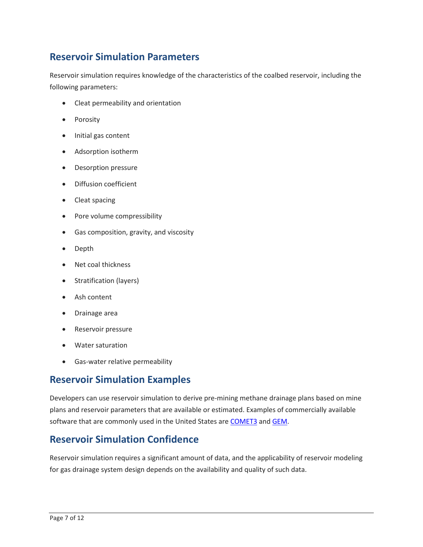## **Reservoir Simulation Parameters**

Reservoir simulation requires knowledge of the characteristics of the coalbed reservoir, including the following parameters:

- Cleat permeability and orientation
- **Porosity**
- Initial gas content
- Adsorption isotherm
- Desorption pressure
- Diffusion coefficient
- Cleat spacing
- Pore volume compressibility
- Gas composition, gravity, and viscosity
- Depth
- Net coal thickness
- Stratification (layers)
- Ash content
- Drainage area
- Reservoir pressure
- Water saturation
- Gas-water relative permeability

## **Reservoir Simulation Examples**

 Developers can use reservoir simulation to derive pre-mining methane drainage plans based on mine plans and reservoir parameters that are available or estimated. Examples of commercially available software that are commonly used in the United States ar[e COMET3](https://www.adv-res.com/COMET3_reservoir_simulator_for_gas_shale_and_coalbed_methane_CBM_reservoirs.php) and [GEM.](https://www.cmgl.ca/gem)

### **Reservoir Simulation Confidence**

Reservoir simulation requires a significant amount of data, and the applicability of reservoir modeling for gas drainage system design depends on the availability and quality of such data.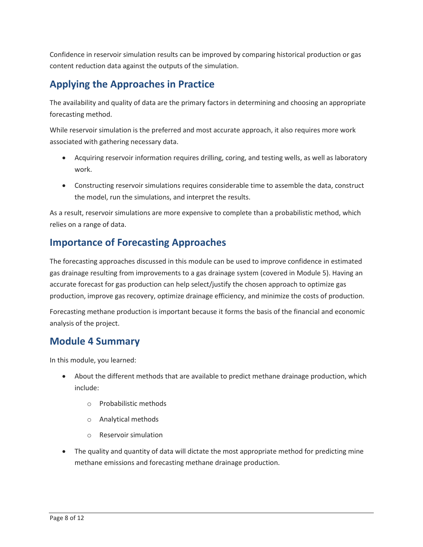content reduction data against the outputs of the simulation. Confidence in reservoir simulation results can be improved by comparing historical production or gas

## **Applying the Approaches in Practice**

 The availability and quality of data are the primary factors in determining and choosing an appropriate forecasting method.

 associated with gathering necessary data. While reservoir simulation is the preferred and most accurate approach, it also requires more work

- Acquiring reservoir information requires drilling, coring, and testing wells, as well as laboratory work.
- the model, run the simulations, and interpret the results. • Constructing reservoir simulations requires considerable time to assemble the data, construct

the model, run the simulations, and interpret the results.<br>As a result, reservoir simulations are more expensive to complete than a probabilistic method, which relies on a range of data.

## **Importance of Forecasting Approaches**

 The forecasting approaches discussed in this module can be used to improve confidence in estimated gas drainage resulting from improvements to a gas drainage system (covered in Module 5). Having an accurate forecast for gas production can help select/justify the chosen approach to optimize gas production, improve gas recovery, optimize drainage efficiency, and minimize the costs of production.

 analysis of the project. Forecasting methane production is important because it forms the basis of the financial and economic

## **Module 4 Summary**

In this module, you learned:

- • About the different methods that are available to predict methane drainage production, which include:
	- o Probabilistic methods
	- o Analytical methods
	- o Reservoir simulation
- • The quality and quantity of data will dictate the most appropriate method for predicting mine methane emissions and forecasting methane drainage production.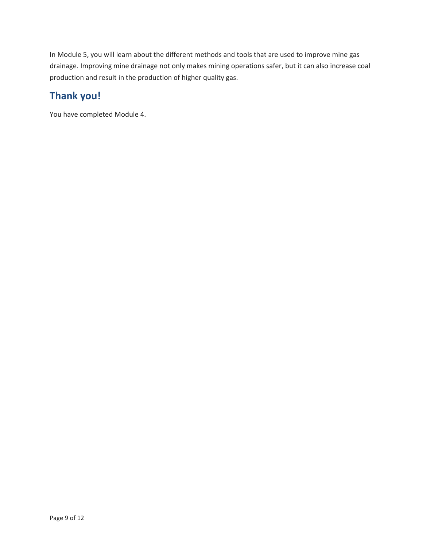drainage. Improving mine drainage not only makes mining operations safer, but it can also increase coal In Module 5, you will learn about the different methods and tools that are used to improve mine gas production and result in the production of higher quality gas.

## **Thank you!**

You have completed Module 4.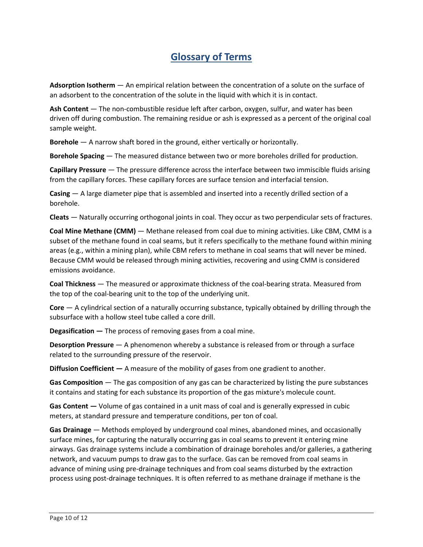## **Glossary of Terms**

 **Adsorption Isotherm** — An empirical relation between the concentration of a solute on the surface of an adsorbent to the concentration of the solute in the liquid with which it is in contact.

 **Ash Content** — The non-combustible residue left after carbon, oxygen, sulfur, and water has been driven off during combustion. The remaining residue or ash is expressed as a percent of the original coal sample weight.

**Borehole** — A narrow shaft bored in the ground, either vertically or horizontally.

**Borehole Spacing** — The measured distance between two or more boreholes drilled for production.

 **Capillary Pressure** — The pressure difference across the interface between two immiscible fluids arising from the capillary forces. These capillary forces are surface tension and interfacial tension.

 **Casing** — A large diameter pipe that is assembled and inserted into a recently drilled section of a borehole.

**Cleats** — Naturally occurring orthogonal joints in coal. They occur as two perpendicular sets of fractures.

 **Coal Mine Methane (CMM)** — Methane released from coal due to mining activities. Like CBM, CMM is a subset of the methane found in coal seams, but it refers specifically to the methane found within mining Because CMM would be released through mining activities, recovering and using CMM is considered areas (e.g., within a mining plan), while CBM refers to methane in coal seams that will never be mined. emissions avoidance.

 **Coal Thickness** — The measured or approximate thickness of the coal-bearing strata. Measured from the top of the coal-bearing unit to the top of the underlying unit.

 **Core** — A cylindrical section of a naturally occurring substance, typically obtained by drilling through the subsurface with a hollow steel tube called a core drill.

**Degasification —** The process of removing gases from a coal mine.

 **Desorption Pressure** — A phenomenon whereby a substance is released from or through a surface related to the surrounding pressure of the reservoir.

**Diffusion Coefficient —** A measure of the mobility of gases from one gradient to another.

 **Gas Composition** — The gas composition of any gas can be characterized by listing the pure substances it contains and stating for each substance its proportion of the gas mixture's molecule count.

 **Gas Content —** Volume of gas contained in a unit mass of coal and is generally expressed in cubic meters, at standard pressure and temperature conditions, per ton of coal.

 **Gas Drainage** — Methods employed by underground coal mines, abandoned mines, and occasionally advance of mining using pre-drainage techniques and from coal seams disturbed by the extraction surface mines, for capturing the naturally occurring gas in coal seams to prevent it entering mine airways. Gas drainage systems include a combination of drainage boreholes and/or galleries, a gathering network, and vacuum pumps to draw gas to the surface. Gas can be removed from coal seams in process using post-drainage techniques. It is often referred to as methane drainage if methane is the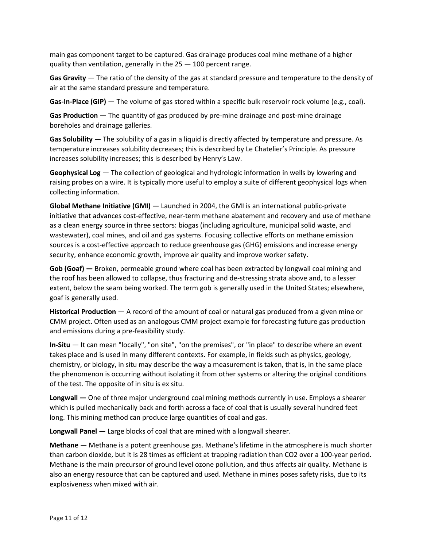main gas component target to be captured. Gas drainage produces coal mine methane of a higher quality than ventilation, generally in the 25 — 100 percent range.

 **Gas Gravity** — The ratio of the density of the gas at standard pressure and temperature to the density of air at the same standard pressure and temperature.

Gas-In-Place (GIP) — The volume of gas stored within a specific bulk reservoir rock volume (e.g., coal).

 **Gas Production** — The quantity of gas produced by pre-mine drainage and post-mine drainage boreholes and drainage galleries.

 **Gas Solubility** — The solubility of a gas in a liquid is directly affected by temperature and pressure. As increases solubility increases; this is described by Henry's Law. temperature increases solubility decreases; this is described by Le Chatelier's Principle. As pressure

 **Geophysical Log** — The collection of geological and hydrologic information in wells by lowering and raising probes on a wire. It is typically more useful to employ a suite of different geophysical logs when collecting information.

 **Global Methane Initiative (GMI) —** Launched in 2004, the GMI is an international public-private initiative that advances cost-effective, near-term methane abatement and recovery and use of methane sources is a cost-effective approach to reduce greenhouse gas (GHG) emissions and increase energy as a clean energy source in three sectors: biogas (including agriculture, municipal solid waste, and wastewater), coal mines, and oil and gas systems. Focusing collective efforts on methane emission security, enhance economic growth, improve air quality and improve worker safety.

 **Gob (Goaf) —** Broken, permeable ground where coal has been extracted by longwall coal mining and the roof has been allowed to collapse, thus fracturing and de-stressing strata above and, to a lesser extent, below the seam being worked. The term gob is generally used in the United States; elsewhere, goaf is generally used.

 **Historical Production** — A record of the amount of coal or natural gas produced from a given mine or  and emissions during a pre-feasibility study. CMM project. Often used as an analogous CMM project example for forecasting future gas production

 **In-Situ** — It can mean "locally", "on site", "on the premises", or "in place" to describe where an event of the test. The opposite of in situ is ex situ. takes place and is used in many different contexts. For example, in fields such as physics, geology, chemistry, or biology, in situ may describe the way a measurement is taken, that is, in the same place the phenomenon is occurring without isolating it from other systems or altering the original conditions

 **Longwall —** One of three major underground coal mining methods currently in use. Employs a shearer long. This mining method can produce large quantities of coal and gas. which is pulled mechanically back and forth across a face of coal that is usually several hundred feet

**Longwall Panel —** Large blocks of coal that are mined with a longwall shearer.

 **Methane** — Methane is a potent greenhouse gas. Methane's lifetime in the atmosphere is much shorter Methane is the main precursor of ground level ozone pollution, and thus affects air quality. Methane is also an energy resource that can be captured and used. Methane in mines poses safety risks, due to its than carbon dioxide, but it is 28 times as efficient at trapping radiation than CO2 over a 100-year period. explosiveness when mixed with air.